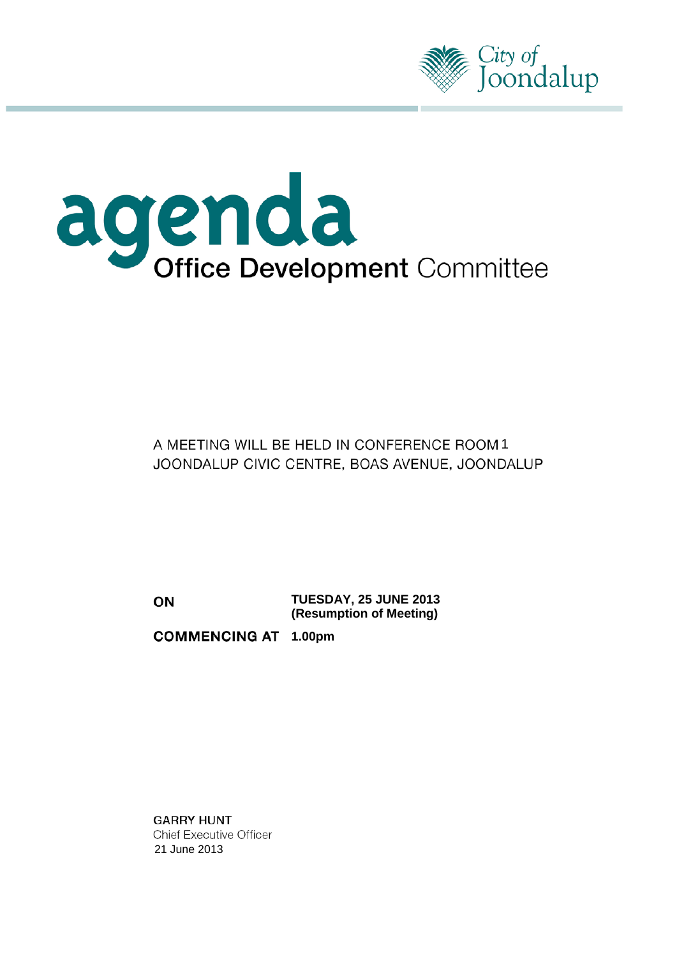

# agenda<br>Office Development Committee

A MEETING WILL BE HELD IN CONFERENCE ROOM 1 JOONDALUP CIVIC CENTRE, BOAS AVENUE, JOONDALUP

ON

**TUESDAY, 25 JUNE 2013 (Resumption of Meeting)**

**COMMENCING AT 1.00pm** 

**GARRY HUNT Chief Executive Officer** 21 June 2013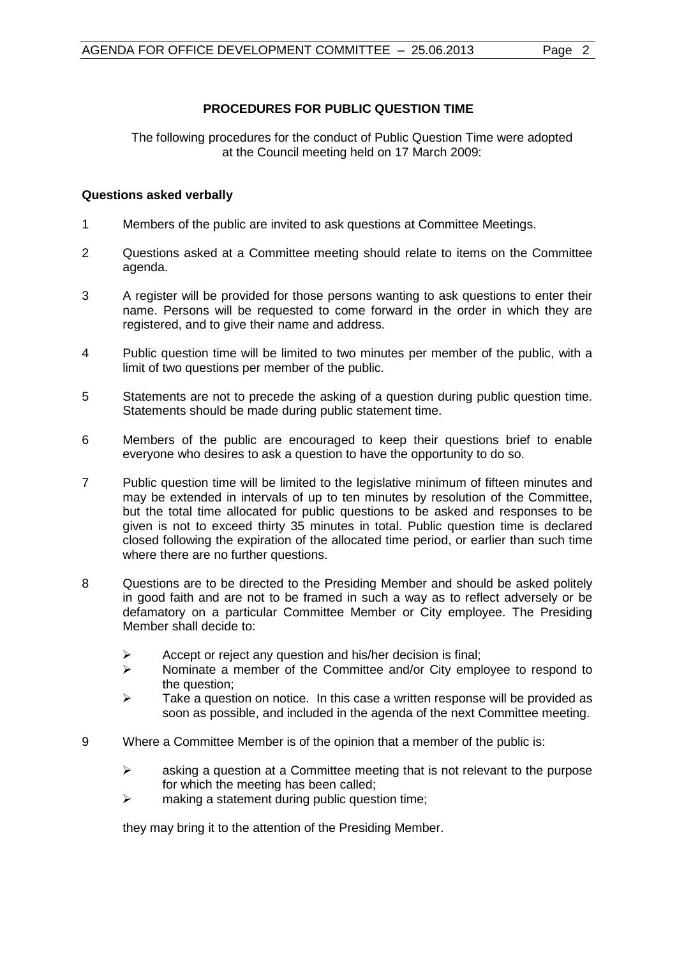### **PROCEDURES FOR PUBLIC QUESTION TIME**

The following procedures for the conduct of Public Question Time were adopted at the Council meeting held on 17 March 2009:

#### **Questions asked verbally**

- 1 Members of the public are invited to ask questions at Committee Meetings.
- 2 Questions asked at a Committee meeting should relate to items on the Committee agenda.
- 3 A register will be provided for those persons wanting to ask questions to enter their name. Persons will be requested to come forward in the order in which they are registered, and to give their name and address.
- 4 Public question time will be limited to two minutes per member of the public, with a limit of two questions per member of the public.
- 5 Statements are not to precede the asking of a question during public question time. Statements should be made during public statement time.
- 6 Members of the public are encouraged to keep their questions brief to enable everyone who desires to ask a question to have the opportunity to do so.
- 7 Public question time will be limited to the legislative minimum of fifteen minutes and may be extended in intervals of up to ten minutes by resolution of the Committee, but the total time allocated for public questions to be asked and responses to be given is not to exceed thirty 35 minutes in total. Public question time is declared closed following the expiration of the allocated time period, or earlier than such time where there are no further questions.
- 8 Questions are to be directed to the Presiding Member and should be asked politely in good faith and are not to be framed in such a way as to reflect adversely or be defamatory on a particular Committee Member or City employee. The Presiding Member shall decide to:
	- $\triangleright$  Accept or reject any question and his/her decision is final;
	- $\triangleright$  Nominate a member of the Committee and/or City employee to respond to the question;
	- $\triangleright$  Take a question on notice. In this case a written response will be provided as soon as possible, and included in the agenda of the next Committee meeting.
- 9 Where a Committee Member is of the opinion that a member of the public is:
	- $\triangleright$  asking a question at a Committee meeting that is not relevant to the purpose for which the meeting has been called;
	- $\triangleright$  making a statement during public question time;

they may bring it to the attention of the Presiding Member.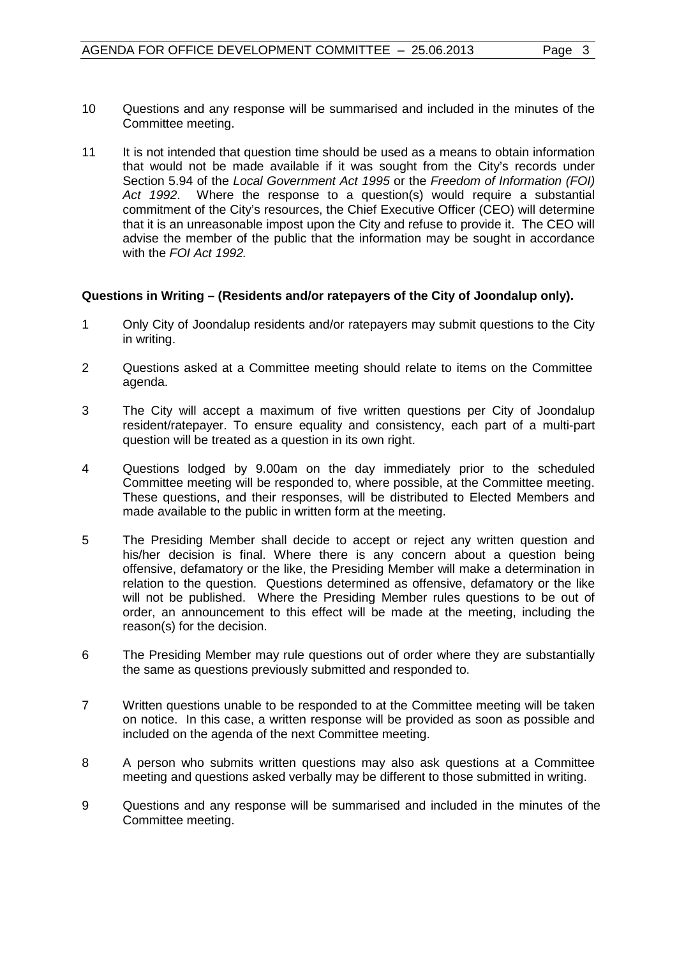- 10 Questions and any response will be summarised and included in the minutes of the Committee meeting.
- 11 It is not intended that question time should be used as a means to obtain information that would not be made available if it was sought from the City's records under Section 5.94 of the *Local Government Act 1995* or the *Freedom of Information (FOI) Act 1992*. Where the response to a question(s) would require a substantial commitment of the City's resources, the Chief Executive Officer (CEO) will determine that it is an unreasonable impost upon the City and refuse to provide it. The CEO will advise the member of the public that the information may be sought in accordance with the *FOI Act 1992.*

#### **Questions in Writing – (Residents and/or ratepayers of the City of Joondalup only).**

- 1 Only City of Joondalup residents and/or ratepayers may submit questions to the City in writing.
- 2 Questions asked at a Committee meeting should relate to items on the Committee agenda.
- 3 The City will accept a maximum of five written questions per City of Joondalup resident/ratepayer. To ensure equality and consistency, each part of a multi-part question will be treated as a question in its own right.
- 4 Questions lodged by 9.00am on the day immediately prior to the scheduled Committee meeting will be responded to, where possible, at the Committee meeting. These questions, and their responses, will be distributed to Elected Members and made available to the public in written form at the meeting.
- 5 The Presiding Member shall decide to accept or reject any written question and his/her decision is final. Where there is any concern about a question being offensive, defamatory or the like, the Presiding Member will make a determination in relation to the question. Questions determined as offensive, defamatory or the like will not be published. Where the Presiding Member rules questions to be out of order, an announcement to this effect will be made at the meeting, including the reason(s) for the decision.
- 6 The Presiding Member may rule questions out of order where they are substantially the same as questions previously submitted and responded to.
- 7 Written questions unable to be responded to at the Committee meeting will be taken on notice. In this case, a written response will be provided as soon as possible and included on the agenda of the next Committee meeting.
- 8 A person who submits written questions may also ask questions at a Committee meeting and questions asked verbally may be different to those submitted in writing.
- 9 Questions and any response will be summarised and included in the minutes of the Committee meeting.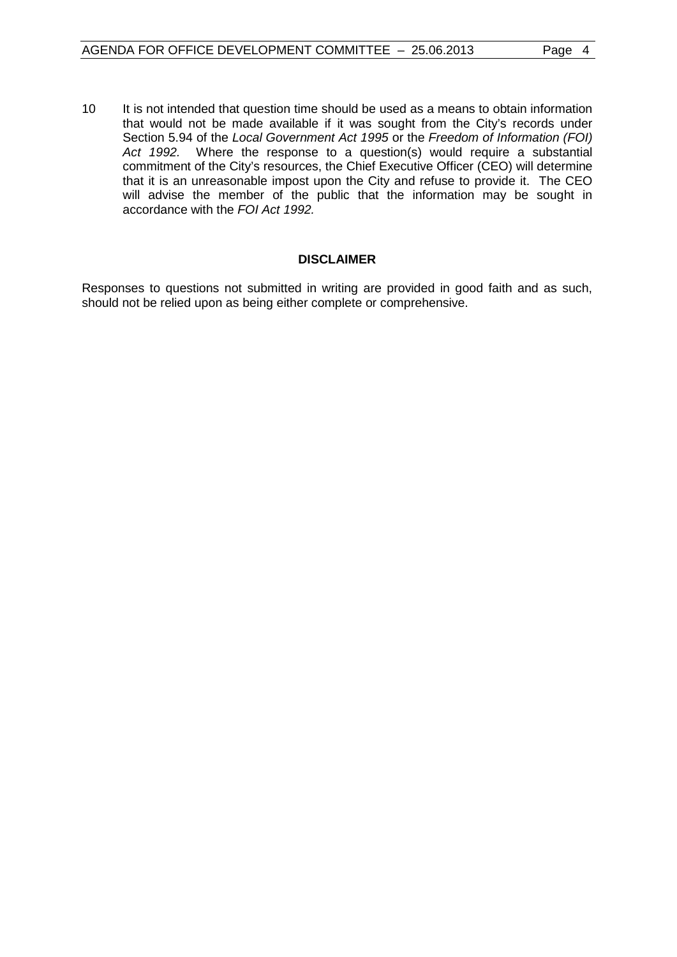10 It is not intended that question time should be used as a means to obtain information that would not be made available if it was sought from the City's records under Section 5.94 of the *Local Government Act 1995* or the *Freedom of Information (FOI) Act 1992.* Where the response to a question(s) would require a substantial commitment of the City's resources, the Chief Executive Officer (CEO) will determine that it is an unreasonable impost upon the City and refuse to provide it. The CEO will advise the member of the public that the information may be sought in accordance with the *FOI Act 1992.*

#### **DISCLAIMER**

Responses to questions not submitted in writing are provided in good faith and as such, should not be relied upon as being either complete or comprehensive.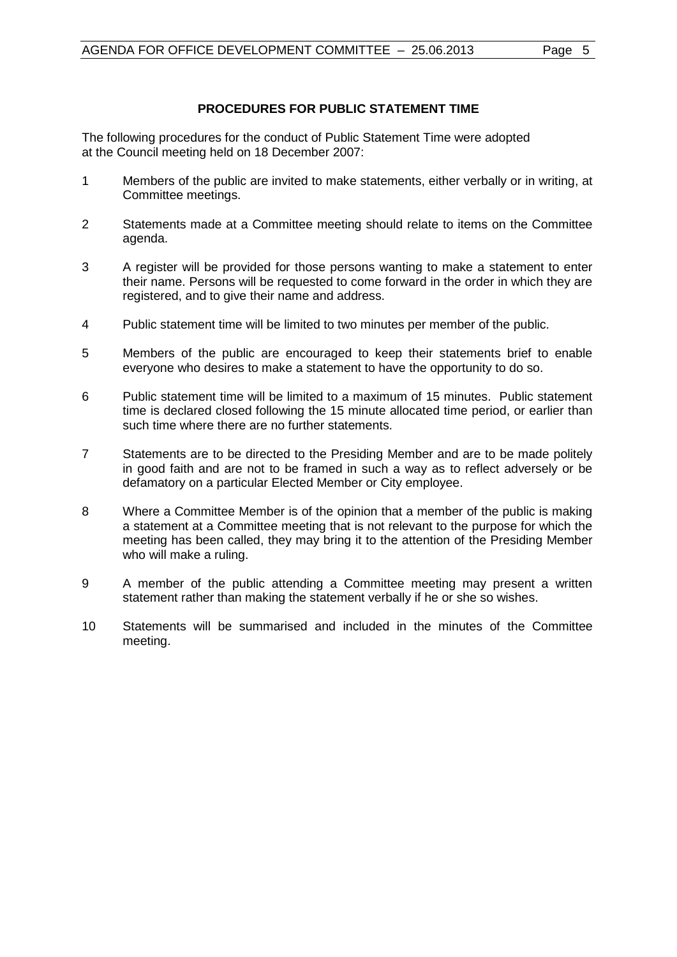#### **PROCEDURES FOR PUBLIC STATEMENT TIME**

The following procedures for the conduct of Public Statement Time were adopted at the Council meeting held on 18 December 2007:

- 1 Members of the public are invited to make statements, either verbally or in writing, at Committee meetings.
- 2 Statements made at a Committee meeting should relate to items on the Committee agenda.
- 3 A register will be provided for those persons wanting to make a statement to enter their name. Persons will be requested to come forward in the order in which they are registered, and to give their name and address.
- 4 Public statement time will be limited to two minutes per member of the public.
- 5 Members of the public are encouraged to keep their statements brief to enable everyone who desires to make a statement to have the opportunity to do so.
- 6 Public statement time will be limited to a maximum of 15 minutes. Public statement time is declared closed following the 15 minute allocated time period, or earlier than such time where there are no further statements.
- 7 Statements are to be directed to the Presiding Member and are to be made politely in good faith and are not to be framed in such a way as to reflect adversely or be defamatory on a particular Elected Member or City employee.
- 8 Where a Committee Member is of the opinion that a member of the public is making a statement at a Committee meeting that is not relevant to the purpose for which the meeting has been called, they may bring it to the attention of the Presiding Member who will make a ruling.
- 9 A member of the public attending a Committee meeting may present a written statement rather than making the statement verbally if he or she so wishes.
- 10 Statements will be summarised and included in the minutes of the Committee meeting.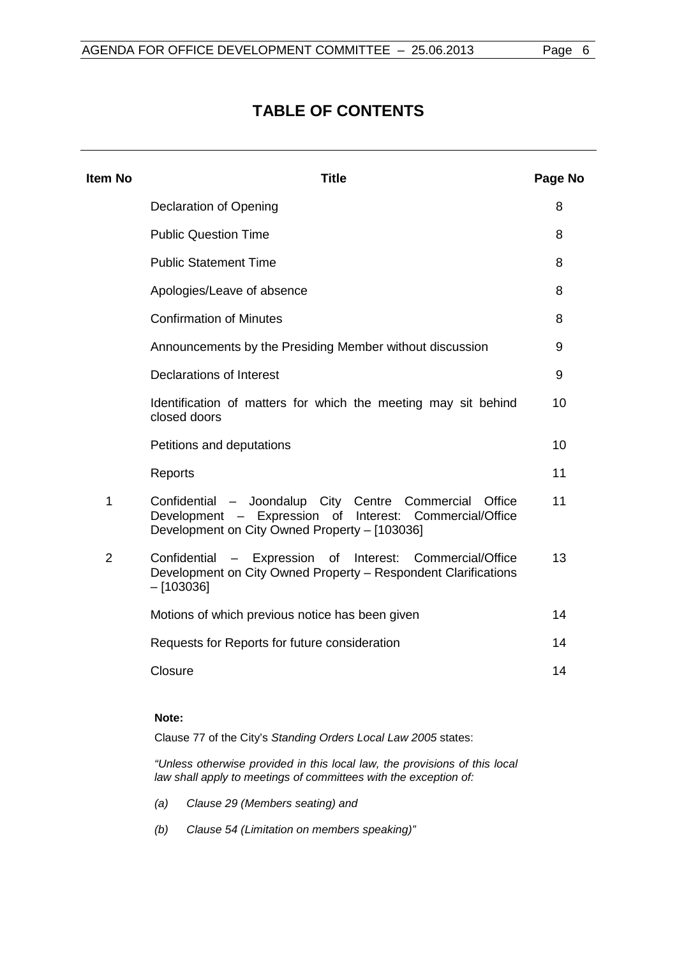# **TABLE OF CONTENTS**

| <b>Item No</b> | <b>Title</b>                                                                                                                                                                | Page No |
|----------------|-----------------------------------------------------------------------------------------------------------------------------------------------------------------------------|---------|
|                | Declaration of Opening                                                                                                                                                      | 8       |
|                | <b>Public Question Time</b>                                                                                                                                                 | 8       |
|                | <b>Public Statement Time</b>                                                                                                                                                | 8       |
|                | Apologies/Leave of absence                                                                                                                                                  | 8       |
|                | <b>Confirmation of Minutes</b>                                                                                                                                              | 8       |
|                | Announcements by the Presiding Member without discussion                                                                                                                    | 9       |
|                | Declarations of Interest                                                                                                                                                    | 9       |
|                | Identification of matters for which the meeting may sit behind<br>closed doors                                                                                              | 10      |
|                | Petitions and deputations                                                                                                                                                   | 10      |
|                | Reports                                                                                                                                                                     | 11      |
| 1              | Confidential - Joondalup City Centre Commercial<br>Office<br>- Expression of<br>Development<br>Interest: Commercial/Office<br>Development on City Owned Property - [103036] | 11      |
| $\overline{2}$ | Confidential<br>- Expression<br>of<br>Interest:<br>Commercial/Office<br>Development on City Owned Property - Respondent Clarifications<br>$-$ [103036]                      | 13      |
|                | Motions of which previous notice has been given                                                                                                                             | 14      |
|                | Requests for Reports for future consideration                                                                                                                               | 14      |
|                | Closure                                                                                                                                                                     | 14      |
|                |                                                                                                                                                                             |         |

#### **Note:**

Clause 77 of the City's *Standing Orders Local Law 2005* states:

*"Unless otherwise provided in this local law, the provisions of this local law shall apply to meetings of committees with the exception of:*

- *(a) Clause 29 (Members seating) and*
- *(b) Clause 54 (Limitation on members speaking)"*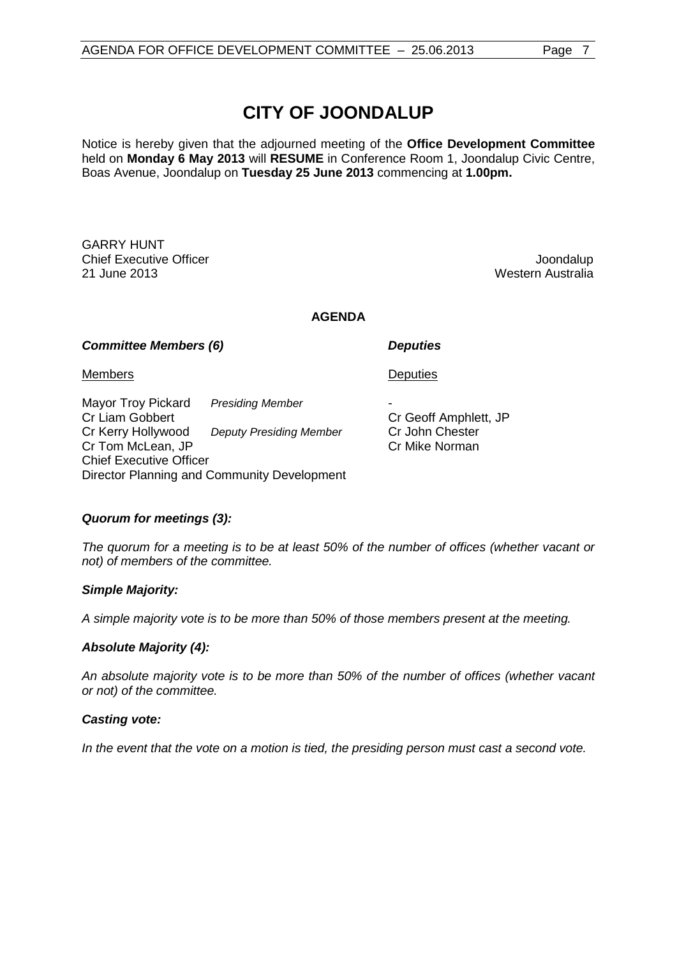# **CITY OF JOONDALUP**

Notice is hereby given that the adjourned meeting of the **Office Development Committee**  held on **Monday 6 May 2013** will **RESUME** in Conference Room 1, Joondalup Civic Centre, Boas Avenue, Joondalup on **Tuesday 25 June 2013** commencing at **1.00pm.**

GARRY HUNT Chief Executive Officer and the control of the chief Executive Officer and the control of the chief of the chi<br>Capture 2013 and the control of the control of the control of the control of the chief of the control of the c<br>

Western Australia

**AGENDA**

*Committee Members (6) Deputies*

**Deputies** 

Members

Mayor Troy Pickard *Presiding Member* Cr Liam Gobbert Cr Kerry Hollywood *Deputy Presiding Member* Cr Tom McLean, JP Chief Executive Officer Director Planning and Community Development

- Cr Geoff Amphlett, JP Cr John Chester Cr Mike Norman

#### *Quorum for meetings (3):*

*The quorum for a meeting is to be at least 50% of the number of offices (whether vacant or not) of members of the committee.*

#### *Simple Majority:*

*A simple majority vote is to be more than 50% of those members present at the meeting.*

#### *Absolute Majority (4):*

*An absolute majority vote is to be more than 50% of the number of offices (whether vacant or not) of the committee.*

#### *Casting vote:*

*In the event that the vote on a motion is tied, the presiding person must cast a second vote.*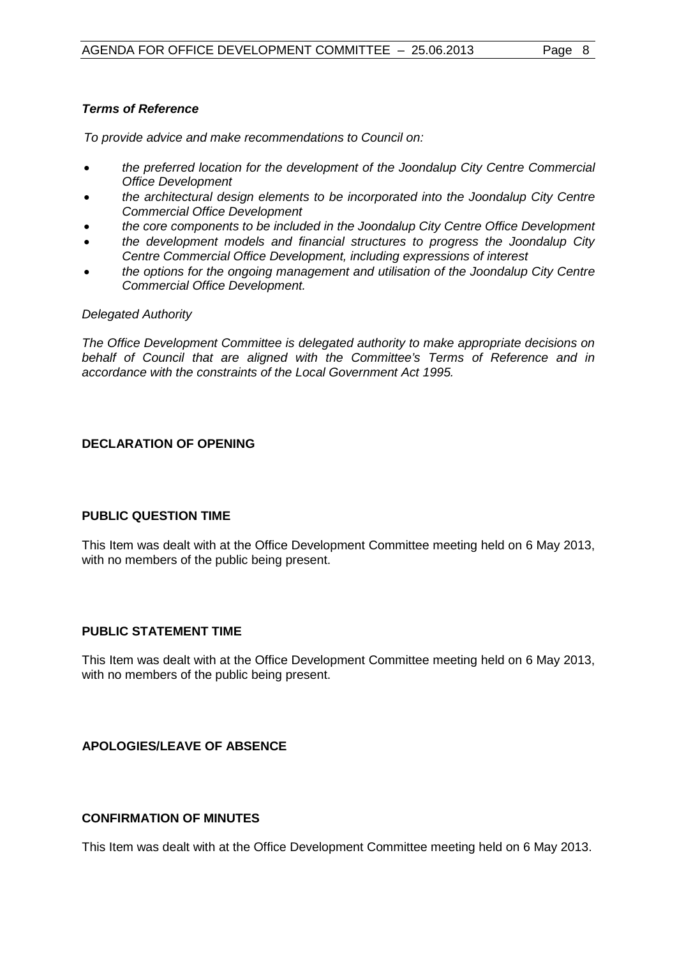#### *Terms of Reference*

*To provide advice and make recommendations to Council on:*

- *the preferred location for the development of the Joondalup City Centre Commercial Office Development*
- *the architectural design elements to be incorporated into the Joondalup City Centre Commercial Office Development*
- *the core components to be included in the Joondalup City Centre Office Development*
- *the development models and financial structures to progress the Joondalup City Centre Commercial Office Development, including expressions of interest*
- *the options for the ongoing management and utilisation of the Joondalup City Centre Commercial Office Development.*

#### *Delegated Authority*

*The Office Development Committee is delegated authority to make appropriate decisions on behalf of Council that are aligned with the Committee's Terms of Reference and in accordance with the constraints of the Local Government Act 1995.*

#### <span id="page-7-1"></span><span id="page-7-0"></span>**DECLARATION OF OPENING**

#### **PUBLIC QUESTION TIME**

<span id="page-7-2"></span>This Item was dealt with at the Office Development Committee meeting held on 6 May 2013, with no members of the public being present.

#### **PUBLIC STATEMENT TIME**

<span id="page-7-3"></span>This Item was dealt with at the Office Development Committee meeting held on 6 May 2013, with no members of the public being present.

#### <span id="page-7-4"></span>**APOLOGIES/LEAVE OF ABSENCE**

#### **CONFIRMATION OF MINUTES**

This Item was dealt with at the Office Development Committee meeting held on 6 May 2013.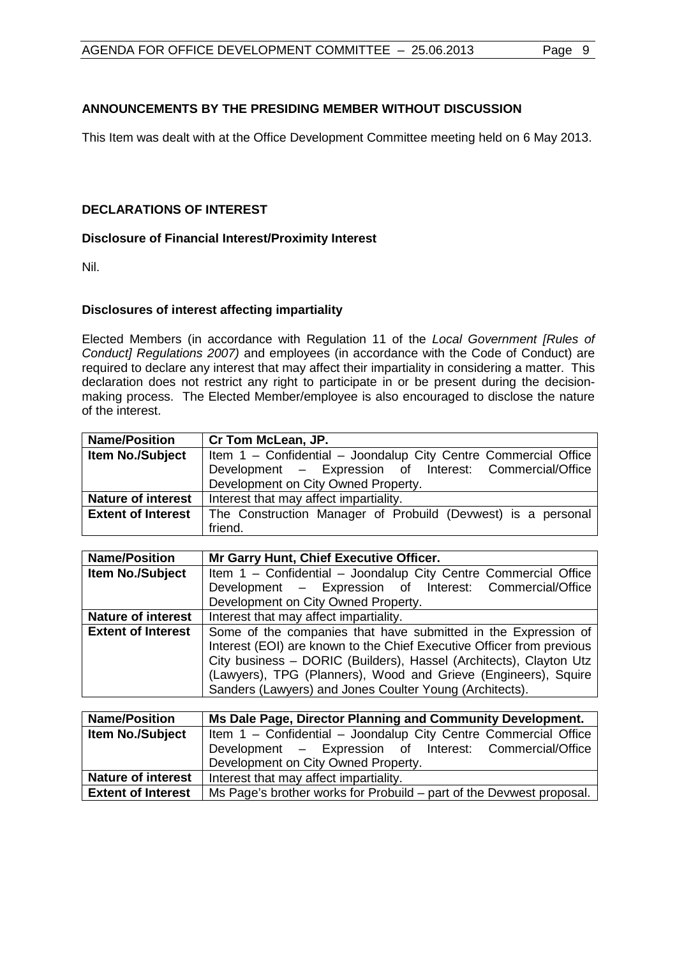#### <span id="page-8-0"></span>**ANNOUNCEMENTS BY THE PRESIDING MEMBER WITHOUT DISCUSSION**

<span id="page-8-1"></span>This Item was dealt with at the Office Development Committee meeting held on 6 May 2013.

#### **DECLARATIONS OF INTEREST**

#### **Disclosure of Financial Interest/Proximity Interest**

Nil.

#### **Disclosures of interest affecting impartiality**

Elected Members (in accordance with Regulation 11 of the *Local Government [Rules of Conduct] Regulations 2007)* and employees (in accordance with the Code of Conduct) are required to declare any interest that may affect their impartiality in considering a matter. This declaration does not restrict any right to participate in or be present during the decisionmaking process. The Elected Member/employee is also encouraged to disclose the nature of the interest.

| <b>Name/Position</b>      | Cr Tom McLean, JP.                                              |  |  |
|---------------------------|-----------------------------------------------------------------|--|--|
| Item No./Subject          | Item 1 - Confidential - Joondalup City Centre Commercial Office |  |  |
|                           | Development - Expression of Interest: Commercial/Office         |  |  |
|                           | Development on City Owned Property.                             |  |  |
| <b>Nature of interest</b> | Interest that may affect impartiality.                          |  |  |
| <b>Extent of Interest</b> | The Construction Manager of Probuild (Devwest) is a personal    |  |  |
|                           | friend.                                                         |  |  |

| <b>Name/Position</b>      | Mr Garry Hunt, Chief Executive Officer.                               |  |  |
|---------------------------|-----------------------------------------------------------------------|--|--|
| <b>Item No./Subject</b>   | Item 1 - Confidential - Joondalup City Centre Commercial Office       |  |  |
|                           | Development - Expression of Interest: Commercial/Office               |  |  |
|                           | Development on City Owned Property.                                   |  |  |
| <b>Nature of interest</b> | Interest that may affect impartiality.                                |  |  |
| <b>Extent of Interest</b> | Some of the companies that have submitted in the Expression of        |  |  |
|                           | Interest (EOI) are known to the Chief Executive Officer from previous |  |  |
|                           | City business - DORIC (Builders), Hassel (Architects), Clayton Utz    |  |  |
|                           | (Lawyers), TPG (Planners), Wood and Grieve (Engineers), Squire        |  |  |
|                           | Sanders (Lawyers) and Jones Coulter Young (Architects).               |  |  |

| <b>Name/Position</b>      | Ms Dale Page, Director Planning and Community Development.           |  |  |
|---------------------------|----------------------------------------------------------------------|--|--|
| <b>Item No./Subject</b>   | Item 1 - Confidential - Joondalup City Centre Commercial Office      |  |  |
|                           | Development - Expression of Interest: Commercial/Office              |  |  |
|                           | Development on City Owned Property.                                  |  |  |
| <b>Nature of interest</b> | Interest that may affect impartiality.                               |  |  |
| <b>Extent of Interest</b> | Ms Page's brother works for Probuild – part of the Devwest proposal. |  |  |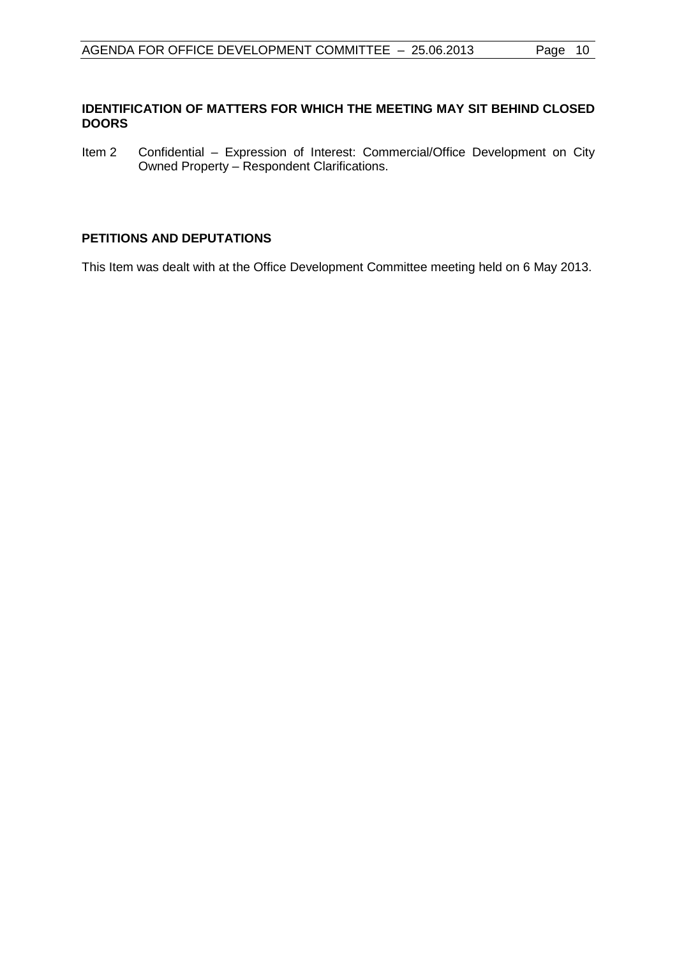#### <span id="page-9-0"></span>**IDENTIFICATION OF MATTERS FOR WHICH THE MEETING MAY SIT BEHIND CLOSED DOORS**

<span id="page-9-1"></span>Item 2 Confidential – Expression of Interest: Commercial/Office Development on City Owned Property – Respondent Clarifications.

#### **PETITIONS AND DEPUTATIONS**

This Item was dealt with at the Office Development Committee meeting held on 6 May 2013.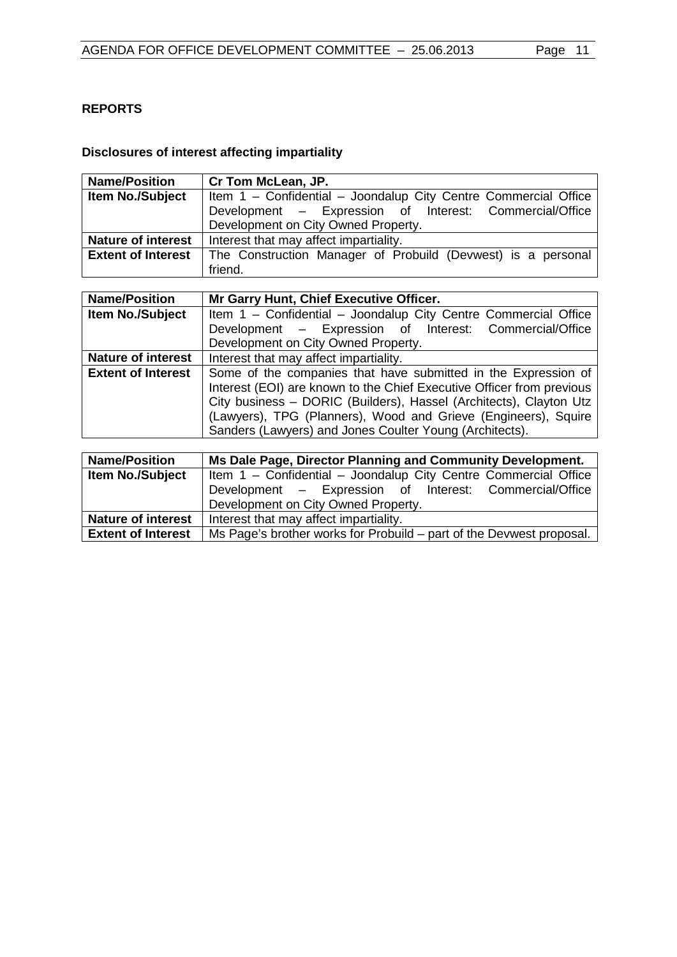# <span id="page-10-0"></span>**REPORTS**

## <span id="page-10-1"></span>**Disclosures of interest affecting impartiality**

| <b>Name/Position</b>      | Cr Tom McLean, JP.                                              |  |  |
|---------------------------|-----------------------------------------------------------------|--|--|
| <b>Item No./Subject</b>   | Item 1 - Confidential - Joondalup City Centre Commercial Office |  |  |
|                           | Development - Expression of Interest: Commercial/Office         |  |  |
|                           | Development on City Owned Property.                             |  |  |
| <b>Nature of interest</b> | Interest that may affect impartiality.                          |  |  |
| <b>Extent of Interest</b> | The Construction Manager of Probuild (Devwest) is a personal    |  |  |
|                           | friend.                                                         |  |  |

| <b>Name/Position</b>      | Mr Garry Hunt, Chief Executive Officer.                               |  |  |
|---------------------------|-----------------------------------------------------------------------|--|--|
| Item No./Subject          | Item 1 - Confidential - Joondalup City Centre Commercial Office       |  |  |
|                           | Development - Expression of Interest: Commercial/Office               |  |  |
|                           | Development on City Owned Property.                                   |  |  |
| <b>Nature of interest</b> | Interest that may affect impartiality.                                |  |  |
| <b>Extent of Interest</b> | Some of the companies that have submitted in the Expression of        |  |  |
|                           | Interest (EOI) are known to the Chief Executive Officer from previous |  |  |
|                           | City business - DORIC (Builders), Hassel (Architects), Clayton Utz    |  |  |
|                           | (Lawyers), TPG (Planners), Wood and Grieve (Engineers), Squire        |  |  |
|                           | Sanders (Lawyers) and Jones Coulter Young (Architects).               |  |  |

| <b>Name/Position</b>      | Ms Dale Page, Director Planning and Community Development.           |  |  |
|---------------------------|----------------------------------------------------------------------|--|--|
| <b>Item No./Subject</b>   | Item 1 - Confidential - Joondalup City Centre Commercial Office      |  |  |
|                           | Development - Expression of Interest: Commercial/Office              |  |  |
|                           | Development on City Owned Property.                                  |  |  |
| <b>Nature of interest</b> | Interest that may affect impartiality.                               |  |  |
| <b>Extent of Interest</b> | Ms Page's brother works for Probuild – part of the Devwest proposal. |  |  |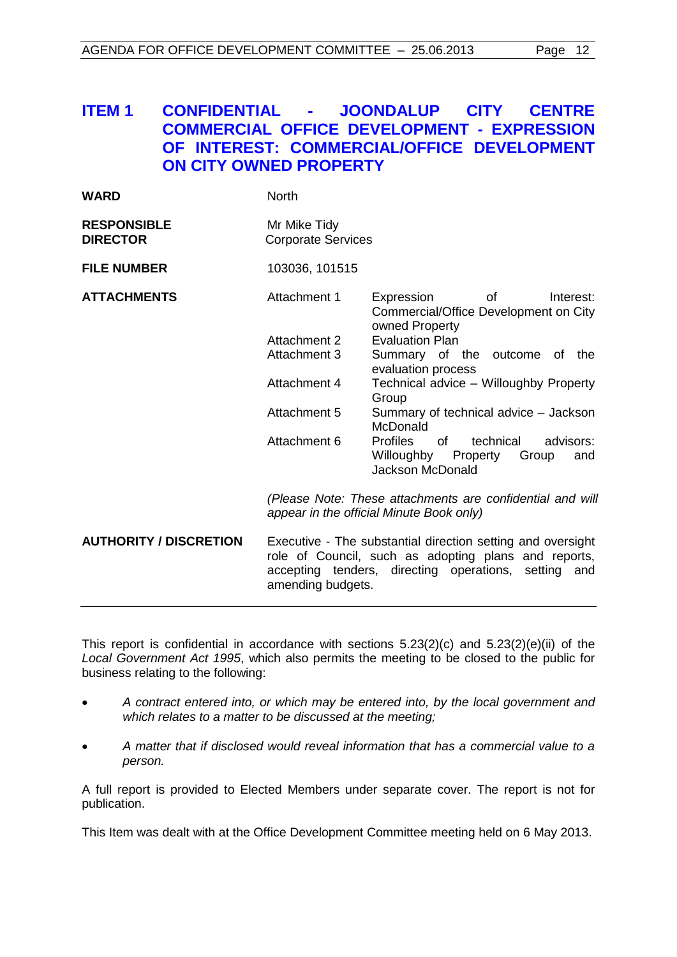# **ITEM 1 CONFIDENTIAL - JOONDALUP CITY CENTRE COMMERCIAL OFFICE DEVELOPMENT - EXPRESSION OF INTEREST: COMMERCIAL/OFFICE DEVELOPMENT ON CITY OWNED PROPERTY**

| <b>WARD</b>                           | <b>North</b>                                                                                                                                                                                     |                                                                                                                   |
|---------------------------------------|--------------------------------------------------------------------------------------------------------------------------------------------------------------------------------------------------|-------------------------------------------------------------------------------------------------------------------|
| <b>RESPONSIBLE</b><br><b>DIRECTOR</b> | Mr Mike Tidy<br><b>Corporate Services</b>                                                                                                                                                        |                                                                                                                   |
| <b>FILE NUMBER</b>                    | 103036, 101515                                                                                                                                                                                   |                                                                                                                   |
| <b>ATTACHMENTS</b>                    | Attachment 1                                                                                                                                                                                     | Expression<br>οf<br>Interest:<br>Commercial/Office Development on City<br>owned Property                          |
|                                       | Attachment 2                                                                                                                                                                                     | <b>Evaluation Plan</b>                                                                                            |
|                                       | <b>Attachment 3</b>                                                                                                                                                                              | Summary of the outcome of the                                                                                     |
|                                       |                                                                                                                                                                                                  | evaluation process                                                                                                |
|                                       | Attachment 4                                                                                                                                                                                     | Technical advice - Willoughby Property<br>Group                                                                   |
|                                       | Attachment 5                                                                                                                                                                                     | Summary of technical advice - Jackson<br>McDonald                                                                 |
|                                       | Attachment 6                                                                                                                                                                                     | <b>Profiles</b><br>of<br>technical<br>advisors:<br>Willoughby Property<br>Group<br>and<br><b>Jackson McDonald</b> |
|                                       | (Please Note: These attachments are confidential and will<br>appear in the official Minute Book only)                                                                                            |                                                                                                                   |
| <b>AUTHORITY / DISCRETION</b>         | Executive - The substantial direction setting and oversight<br>role of Council, such as adopting plans and reports,<br>accepting tenders, directing operations, setting and<br>amending budgets. |                                                                                                                   |

This report is confidential in accordance with sections  $5.23(2)(c)$  and  $5.23(2)(e)(ii)$  of the *Local Government Act 1995*, which also permits the meeting to be closed to the public for business relating to the following:

- *A contract entered into, or which may be entered into, by the local government and which relates to a matter to be discussed at the meeting;*
- *A matter that if disclosed would reveal information that has a commercial value to a person.*

A full report is provided to Elected Members under separate cover. The report is not for publication.

This Item was dealt with at the Office Development Committee meeting held on 6 May 2013.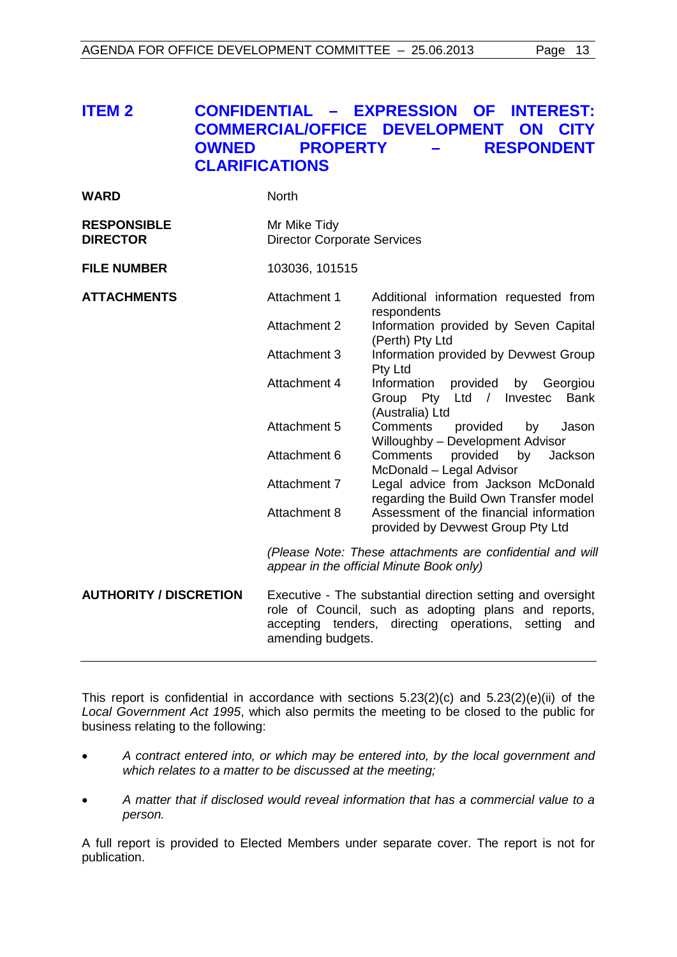# <span id="page-12-0"></span>**ITEM 2 CONFIDENTIAL – EXPRESSION OF INTEREST: COMMERCIAL/OFFICE DEVELOPMENT ON CITY OWNED PROPERTY – RESPONDENT CLARIFICATIONS**

| <b>RESPONSIBLE</b><br>Mr Mike Tidy<br><b>DIRECTOR</b><br><b>Director Corporate Services</b><br><b>FILE NUMBER</b><br>103036, 101515<br><b>ATTACHMENTS</b><br>Attachment 1<br>Additional information requested from<br>respondents<br>Attachment 2<br>Information provided by Seven Capital<br>(Perth) Pty Ltd<br>Attachment 3<br>Information provided by Devwest Group<br>Pty Ltd<br>Attachment 4<br>Information<br>provided by Georgiou<br>Group Pty Ltd / Investec<br><b>Bank</b><br>(Australia) Ltd<br>Attachment 5<br>Comments<br>provided<br>Jason<br>by<br>Willoughby - Development Advisor<br>Attachment 6<br>Comments<br>provided<br>by<br>Jackson<br>McDonald - Legal Advisor<br>Attachment 7<br>Legal advice from Jackson McDonald<br>regarding the Build Own Transfer model<br>Attachment 8<br>Assessment of the financial information<br>provided by Devwest Group Pty Ltd<br>(Please Note: These attachments are confidential and will<br>appear in the official Minute Book only)<br><b>AUTHORITY / DISCRETION</b><br>Executive - The substantial direction setting and oversight<br>role of Council, such as adopting plans and reports,<br>accepting tenders, directing operations,<br>setting<br>and<br>amending budgets. | <b>WARD</b> | <b>North</b> |  |
|--------------------------------------------------------------------------------------------------------------------------------------------------------------------------------------------------------------------------------------------------------------------------------------------------------------------------------------------------------------------------------------------------------------------------------------------------------------------------------------------------------------------------------------------------------------------------------------------------------------------------------------------------------------------------------------------------------------------------------------------------------------------------------------------------------------------------------------------------------------------------------------------------------------------------------------------------------------------------------------------------------------------------------------------------------------------------------------------------------------------------------------------------------------------------------------------------------------------------------------------|-------------|--------------|--|
|                                                                                                                                                                                                                                                                                                                                                                                                                                                                                                                                                                                                                                                                                                                                                                                                                                                                                                                                                                                                                                                                                                                                                                                                                                            |             |              |  |
|                                                                                                                                                                                                                                                                                                                                                                                                                                                                                                                                                                                                                                                                                                                                                                                                                                                                                                                                                                                                                                                                                                                                                                                                                                            |             |              |  |
|                                                                                                                                                                                                                                                                                                                                                                                                                                                                                                                                                                                                                                                                                                                                                                                                                                                                                                                                                                                                                                                                                                                                                                                                                                            |             |              |  |
|                                                                                                                                                                                                                                                                                                                                                                                                                                                                                                                                                                                                                                                                                                                                                                                                                                                                                                                                                                                                                                                                                                                                                                                                                                            |             |              |  |
|                                                                                                                                                                                                                                                                                                                                                                                                                                                                                                                                                                                                                                                                                                                                                                                                                                                                                                                                                                                                                                                                                                                                                                                                                                            |             |              |  |
|                                                                                                                                                                                                                                                                                                                                                                                                                                                                                                                                                                                                                                                                                                                                                                                                                                                                                                                                                                                                                                                                                                                                                                                                                                            |             |              |  |
|                                                                                                                                                                                                                                                                                                                                                                                                                                                                                                                                                                                                                                                                                                                                                                                                                                                                                                                                                                                                                                                                                                                                                                                                                                            |             |              |  |
|                                                                                                                                                                                                                                                                                                                                                                                                                                                                                                                                                                                                                                                                                                                                                                                                                                                                                                                                                                                                                                                                                                                                                                                                                                            |             |              |  |
|                                                                                                                                                                                                                                                                                                                                                                                                                                                                                                                                                                                                                                                                                                                                                                                                                                                                                                                                                                                                                                                                                                                                                                                                                                            |             |              |  |
|                                                                                                                                                                                                                                                                                                                                                                                                                                                                                                                                                                                                                                                                                                                                                                                                                                                                                                                                                                                                                                                                                                                                                                                                                                            |             |              |  |
|                                                                                                                                                                                                                                                                                                                                                                                                                                                                                                                                                                                                                                                                                                                                                                                                                                                                                                                                                                                                                                                                                                                                                                                                                                            |             |              |  |
|                                                                                                                                                                                                                                                                                                                                                                                                                                                                                                                                                                                                                                                                                                                                                                                                                                                                                                                                                                                                                                                                                                                                                                                                                                            |             |              |  |

This report is confidential in accordance with sections 5.23(2)(c) and 5.23(2)(e)(ii) of the *Local Government Act 1995*, which also permits the meeting to be closed to the public for business relating to the following:

- *A contract entered into, or which may be entered into, by the local government and which relates to a matter to be discussed at the meeting;*
- *A matter that if disclosed would reveal information that has a commercial value to a person.*

A full report is provided to Elected Members under separate cover. The report is not for publication.